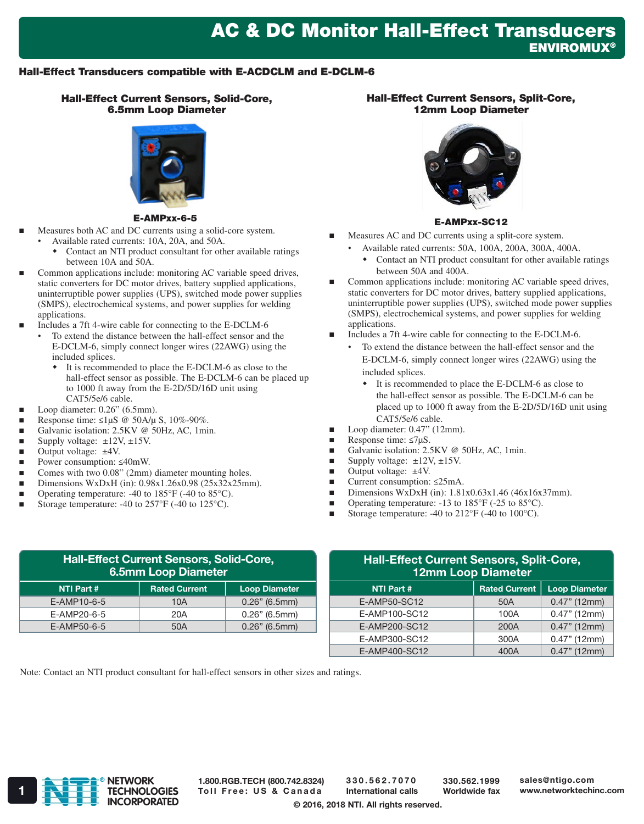## AC & DC Monitor Hall-Effect Transducers **ENVIROMUX®**

## Hall-Effect Transducers compatible with E-ACDCLM and E-DCLM-6

Hall-Effect Current Sensors, Solid-Core, 6.5mm Loop Diameter



#### E-AMPxx-6-5

- Measures both AC and DC currents using a solid-core system. • Available rated currents: 10A, 20A, and 50A.
	- Contact an NTI product consultant for other available ratings between 10A and 50A.
- Common applications include: monitoring AC variable speed drives, static converters for DC motor drives, battery supplied applications, uninterruptible power supplies (UPS), switched mode power supplies (SMPS), electrochemical systems, and power supplies for welding applications.
- Includes a 7ft 4-wire cable for connecting to the E-DCLM-6
	- To extend the distance between the hall-effect sensor and the E-DCLM-6, simply connect longer wires (22AWG) using the included splices.
		- It is recommended to place the E-DCLM-6 as close to the hall-effect sensor as possible. The E-DCLM-6 can be placed up to 1000 ft away from the E-2D/5D/16D unit using CAT5/5e/6 cable.
	- Loop diameter: 0.26" (6.5mm).
- Response time:  $\leq$ 1µS @ 50A/µ S, 10%-90%.
- Galvanic isolation: 2.5KV @ 50Hz, AC, 1min.
- Supply voltage: ±12V, ±15V.
- Output voltage: ±4V.
- Power consumption: ≤40mW.
- Comes with two 0.08" (2mm) diameter mounting holes.
- Dimensions WxDxH (in): 0.98x1.26x0.98 (25x32x25mm).
- Operating temperature: -40 to 185°F (-40 to 85°C).
- Storage temperature: -40 to  $257^{\circ}F$  (-40 to  $125^{\circ}C$ ).

## Hall-Effect Current Sensors, Split-Core, 12mm Loop Diameter



#### E-AMPxx-SC12

- Measures AC and DC currents using a split-core system.
	- Available rated currents: 50A, 100A, 200A, 300A, 400A.
		- Contact an NTI product consultant for other available ratings between 50A and 400A.
- Common applications include: monitoring AC variable speed drives, static converters for DC motor drives, battery supplied applications, uninterruptible power supplies (UPS), switched mode power supplies (SMPS), electrochemical systems, and power supplies for welding applications.
- Includes a 7ft 4-wire cable for connecting to the E-DCLM-6.
	- To extend the distance between the hall-effect sensor and the E-DCLM-6, simply connect longer wires (22AWG) using the included splices.
		- It is recommended to place the E-DCLM-6 as close to the hall-effect sensor as possible. The E-DCLM-6 can be placed up to 1000 ft away from the E-2D/5D/16D unit using CAT5/5e/6 cable.
- Loop diameter: 0.47" (12mm).
- Response time:  $\leq$ 7µS.
- Galvanic isolation: 2.5KV @ 50Hz, AC, 1min.
- Supply voltage:  $\pm 12V$ ,  $\pm 15V$ .
- $\blacksquare$  Output voltage:  $\pm 4V$ .
- Current consumption: ≤25mA.
- Dimensions WxDxH (in):  $1.81x0.63x1.46$  (46x16x37mm).
- **Operating temperature:** -13 to  $185^{\circ}$ F (-25 to  $85^{\circ}$ C).
- Storage temperature: -40 to 212°F (-40 to 100°C).

| <b>Hall-Effect Current Sensors, Solid-Core,</b><br><b>6.5mm Loop Diameter</b> |                      |                      |  |
|-------------------------------------------------------------------------------|----------------------|----------------------|--|
| NTI Part #                                                                    | <b>Rated Current</b> | <b>Loop Diameter</b> |  |
| E-AMP10-6-5                                                                   | 10A                  | $0.26"$ (6.5mm)      |  |
| E-AMP20-6-5                                                                   | 20A                  | $0.26"$ (6.5mm)      |  |
| E-AMP50-6-5                                                                   | 50A                  | $0.26"$ (6.5mm)      |  |

| <b>Hall-Effect Current Sensors, Split-Core,</b><br>12mm Loop Diameter |                      |                      |  |
|-----------------------------------------------------------------------|----------------------|----------------------|--|
| <b>NTI Part #</b>                                                     | <b>Rated Current</b> | <b>Loop Diameter</b> |  |
| E-AMP50-SC12                                                          | 50A                  | $0.47"$ (12mm)       |  |
| E-AMP100-SC12                                                         | 100A                 | $0.47"$ (12mm)       |  |
| E-AMP200-SC12                                                         | 200A                 | $0.47"$ (12mm)       |  |
| E-AMP300-SC12                                                         | 300A                 | $0.47"$ (12mm)       |  |
| E-AMP400-SC12                                                         | 400A                 | $0.47"$ (12mm)       |  |

Note: Contact an NTI product consultant for hall-effect sensors in other sizes and ratings.



1.800.RGB.TECH (800.742.8324)

330.562.7070 International calls

330.562.1999 Worldwide fax